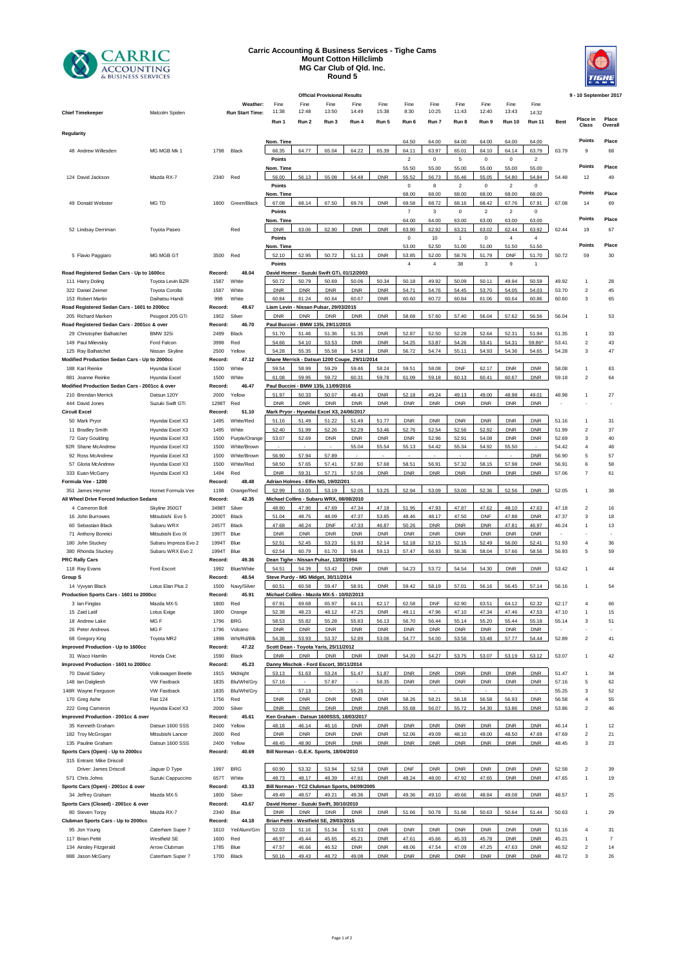

## **Carric Accounting & Business Services - Tighe Cams Mount Cotton Hillclimb MG Car Club of Qld. Inc. Round 5**

|                                                |                                   |              |                        |                                               |                | <b>Official Provisional Results</b> |                     |                          |                     |                     |                     |                     |                     |                          |                | 9 - 10 September 2017   |                      |
|------------------------------------------------|-----------------------------------|--------------|------------------------|-----------------------------------------------|----------------|-------------------------------------|---------------------|--------------------------|---------------------|---------------------|---------------------|---------------------|---------------------|--------------------------|----------------|-------------------------|----------------------|
|                                                |                                   |              | Weather:               | Fine                                          | Fine           | Fine                                | Fine                | Fine                     | Fine                | Fine                | Fine                | Fine                | Fine                | Fine                     |                |                         |                      |
| <b>Chief Timekeeper</b>                        | Malcolm Spiden                    |              | <b>Run Start Time:</b> | 11:38                                         | 12:48          | 13:50                               | 14:49               | 15:38                    | 8:30                | 10:25               | 11:43               | 12:40               | 13:43               | 14:32                    |                |                         |                      |
|                                                |                                   |              |                        | Run 1                                         | Run 2          | Run 3                               | Run 4               | Run 5                    | Run 6               | Run 7               | Run 8               | Run 9               | <b>Run 10</b>       | <b>Run 11</b>            | <b>Best</b>    | Place in                | Place                |
|                                                |                                   |              |                        |                                               |                |                                     |                     |                          |                     |                     |                     |                     |                     |                          |                | Class                   | Overal               |
| Regularity                                     |                                   |              |                        |                                               |                |                                     |                     |                          |                     |                     |                     |                     |                     |                          |                |                         |                      |
|                                                |                                   |              |                        | Nom. Time                                     |                |                                     |                     |                          | 64.50               | 64.00               | 64.00               | 64.00               | 64.00               | 64.00                    |                | Points                  | Place                |
| 48 Andrew Willesden                            | MG MGB Mk 1                       | 1798         | Black                  | 66.35                                         | 64.77          | 65.04                               | 64.22               | 65.39                    | 64.11               | 63.97               | 65.01               | 64.10               | 64.14               | 63.79                    | 63.79          | 9                       | 68                   |
|                                                |                                   |              |                        | Points                                        |                |                                     |                     |                          | $\overline{2}$      | 0                   | 5                   | $\mathbf 0$         | 0                   | $\overline{c}$           |                |                         |                      |
|                                                |                                   |              |                        | Nom. Time                                     |                |                                     |                     |                          | 55.50               | 55.00               | 55.00               | 55.00               | 55.00               | 55.00                    |                | Points                  | Place                |
| 124 David Jackson                              | Mazda RX-7                        | 2340         | Red                    | 56.00                                         | 56.13          | 55.08                               | 54.48               | <b>DNR</b>               | 55.52               | 56.73               | 55.46               | 55.05               | 54.80               | 54.84                    | 54.48          | 12                      | 49                   |
|                                                |                                   |              |                        |                                               |                |                                     |                     |                          |                     |                     |                     |                     |                     |                          |                |                         |                      |
|                                                |                                   |              |                        | Points                                        |                |                                     |                     |                          | $\,0\,$             | 8                   | 2                   | $\mathbf 0$         | $\overline{c}$      | 0                        |                | Points                  |                      |
|                                                |                                   |              |                        | Nom. Time                                     |                |                                     |                     |                          | 68.00               | 68.00               | 68.00               | 68.00               | 68.00               | 68.00                    |                |                         | Place                |
| 49 Donald Webster                              | MG TD                             | 1800         | Green/Black            | 67.08                                         | 68.14          | 67.50                               | 69.76               | <b>DNR</b>               | 69.58               | 68.72               | 68.16               | 68.42               | 67.76               | 67.91                    | 67.08          | 14                      | 69                   |
|                                                |                                   |              |                        | Points                                        |                |                                     |                     |                          | $\overline{7}$      | 3                   | $\mathsf 0$         | $\overline{2}$      | $\overline{2}$      | $\bf{0}$                 |                |                         |                      |
|                                                |                                   |              |                        | Nom. Time                                     |                |                                     |                     |                          | 64.00               | 64.00               | 63.00               | 63.00               | 63.00               | 63.00                    |                | Points                  | Place                |
| 52 Lindsay Derriman                            | <b>Toyota Paseo</b>               |              | Red                    | <b>DNR</b>                                    | 63.06          | 62.90                               | <b>DNR</b>          | <b>DNR</b>               | 63.90               | 62.92               | 63.21               | 63.02               | 62.44               | 63.92                    | 62.44          | 19                      | 67                   |
|                                                |                                   |              |                        |                                               |                |                                     |                     |                          |                     |                     | $\overline{1}$      |                     | $\overline{4}$      | $\overline{4}$           |                |                         |                      |
|                                                |                                   |              |                        | Points                                        |                |                                     |                     |                          | $\mathbf 0$         | 10                  |                     | 0                   |                     |                          |                | Points                  |                      |
|                                                |                                   |              |                        | Nom. Time                                     |                |                                     |                     |                          | 53.00               | 52.50               | 51.00               | 51.00               | 51.50               | 51.50                    |                |                         | Place                |
| 5 Flavio Paggiaro                              | MG MGB GT                         | 3500         | Red                    | 52.10                                         | 52.95          | 50.72                               | 51.13               | <b>DNR</b>               | 53.85               | 52.00               | 58.76               | 51.79               | <b>DNF</b>          | 51.70                    | 50.72          | 59                      | 30                   |
|                                                |                                   |              |                        | Points                                        |                |                                     |                     |                          | $\overline{4}$      | $\overline{4}$      | 38                  | 3                   | 9                   | $\overline{1}$           |                |                         |                      |
| Road Registered Sedan Cars - Up to 1600cc      |                                   | Record:      | 48.04                  | David Homer - Suzuki Swift GTi, 01/12/2003    |                |                                     |                     |                          |                     |                     |                     |                     |                     |                          |                |                         |                      |
| 111 Harry Doling                               | Toyota Levin BZR                  | 1587         | White                  | 50.72                                         | 50.79          | 50.69                               | 50.06               | 50.34                    | 50.18               | 49.92               | 50.09               | 50.11               | 49.94               | 50.59                    | 49.92          | $\mathbf{1}$            | 28                   |
| 322 Daniel Zeimer                              | Toyota Corolla                    | 1587         | White                  | <b>DNR</b>                                    | <b>DNR</b>     | <b>DNR</b>                          | <b>DNR</b>          | <b>DNR</b>               | 54.71               | 54.76               | 54.45               | 53.70               | 54.05               | 54.03                    | 53.70          | $\overline{\mathbf{c}}$ | 45                   |
|                                                |                                   |              | White                  |                                               |                |                                     |                     |                          |                     | 60.72               |                     |                     |                     |                          |                |                         |                      |
| 153 Robert Martin                              | Daihatsu Handi                    | 998          |                        | 60.84                                         | 61.24          | 60.64                               | 60.67               | <b>DNR</b>               | 60.60               |                     | 60.84               | 61.06               | 60.64               | 60.86                    | 60.60          | 3                       | 65                   |
| Road Registered Sedan Cars - 1601 to 2000cc    |                                   | Record:      | 49.67                  | Liam Levin                                    |                | Nissan Pulsar, 29/03/2015           |                     |                          |                     |                     |                     |                     |                     |                          |                |                         |                      |
| 205 Richard Marken                             | Peugeot 205 GTi                   | 1902         | Silver                 | <b>DNR</b>                                    | <b>DNR</b>     | <b>DNR</b>                          | <b>DNR</b>          | <b>DNR</b>               | 58.68               | 57.60               | 57.40               | 56.04               | 57.62               | 56.56                    | 56.04          | 1                       | 53                   |
| Road Registered Sedan Cars - 2001cc & over     |                                   | Record:      | 46.70                  | Paul Buccini - BMW 135i, 29/11/2015           |                |                                     |                     |                          |                     |                     |                     |                     |                     |                          |                |                         |                      |
| 29 Christopher Balhatchet                      | <b>BMW 325i</b>                   | 2499         | Black                  | 51.70                                         | 51.46          | 51.36                               | 51.35               | <b>DNR</b>               | 52.87               | 52.50               | 52.28               | 52.64               | 52.31               | 51.94                    | 51.35          | $\mathbf{1}$            | 33                   |
| 149 Paul Milevskiy                             | Ford Falcon                       | 3998         | Red                    | 54.66                                         | 54.10          | 53.53                               | <b>DNR</b>          | <b>DNR</b>               | 54.25               | 53.87               | 54.26               | 53.41               | 54.31               | 59.86^                   | 53.41          | $\boldsymbol{2}$        | 43                   |
| 125 Ray Balhatchet                             | Nissan Skyline                    | 2500         | Yellow                 | 54.28                                         | 55.35          | 55.58                               | 54.58               | <b>DNR</b>               | 56.72               | 54.74               | 55.11               | 54.93               | 54.36               | 54.65                    | 54.28          | 3                       | 47                   |
|                                                |                                   |              |                        |                                               |                |                                     |                     |                          |                     |                     |                     |                     |                     |                          |                |                         |                      |
| Modified Production Sedan Cars - Up to 2000cc  |                                   | Record:      | 47.12                  | Shane Merrick - Datsun 1200 Coupe, 29/11/2014 |                |                                     |                     |                          |                     |                     |                     |                     |                     |                          |                |                         |                      |
| 188 Karl Reinke                                | Hyundai Excel                     | 1500         | White                  | 59.54                                         | 58.99          | 59.29                               | 59.46               | 58.24                    | 59.51               | 58.08               | <b>DNF</b>          | 62.17               | <b>DNR</b>          | <b>DNR</b>               | 58.08          | 1                       | 63                   |
| 881 Joanne Reinke                              | Hvundai Excel                     | 1500         | White                  | 61.08                                         | 59.95          | 59.72                               | 60.31               | 59.78                    | 61.09               | 59.18               | 60.13               | 60.41               | 60.67               | <b>DNR</b>               | 59.18          | $\overline{2}$          | 64                   |
| Modified Production Sedan Cars - 2001cc & over |                                   | Record:      | 46.47                  | Paul Buccini - BMW 135i, 11/09/2016           |                |                                     |                     |                          |                     |                     |                     |                     |                     |                          |                |                         |                      |
| 210 Brendan Merrick                            | Datsun 120Y                       | 2000         | Yellow                 | 51.97                                         | 50.33          | 50.07                               | 49.43               | <b>DNR</b>               | 52.18               | 49.24               | 49.13               | 49.00               | 48.98               | 49.01                    | 48.98          | $\mathbf{1}$            | 27                   |
| 444 David Jones                                | Suzuki Swift GTi                  | 1298T        | Red                    | <b>DNR</b>                                    | <b>DNR</b>     | <b>DNR</b>                          | <b>DNR</b>          | <b>DNR</b>               | <b>DNR</b>          | <b>DNR</b>          | <b>DNR</b>          | <b>DNR</b>          | <b>DNR</b>          | <b>DNR</b>               |                |                         |                      |
| <b>Circuit Excel</b>                           |                                   | Record:      | 51.10                  | Mark Pryor - Hyundai Excel X3, 24/06/2017     |                |                                     |                     |                          |                     |                     |                     |                     |                     |                          |                |                         |                      |
|                                                |                                   |              |                        |                                               |                |                                     |                     |                          |                     |                     |                     |                     |                     |                          |                |                         |                      |
| 50 Mark Pryor                                  | Hyundai Excel X3                  | 1495         | White/Red              | 51.16                                         | 51.49          | 51.22                               | 51.49               | 51.77                    | <b>DNR</b>          | <b>DNR</b>          | <b>DNR</b>          | <b>DNR</b>          | <b>DNR</b>          | <b>DNR</b>               | 51.16          | 1                       | 31                   |
| 11 Bradley Smith                               | Hyundai Excel X3                  | 1495         | White                  | 52.40                                         | 51.99          | 52.26                               | 52.29               | 53.46                    | 52.76               | 52.54               | 52.56               | 52.92               | <b>DNR</b>          | <b>DNR</b>               | 51.99          | $\overline{\mathbf{c}}$ | 37                   |
| 72 Gary Goulding                               | Hyundai Excel X3                  | 1500         | Purple/Orange          | 53.07                                         | 52.69          | <b>DNR</b>                          | <b>DNR</b>          | <b>DNR</b>               | <b>DNR</b>          | 52.96               | 52.91               | 54.08               | <b>DNR</b>          | <b>DNR</b>               | 52.69          | 3                       | 40                   |
| 92R Shane McAndrew                             | Hyundai Excel X3                  | 1500         | White/Brown            |                                               |                |                                     | 55.04               | 55.54                    | 55.13               | 54.42               | 55.34               | 54.92               | 55.50               |                          | 54.42          | $\overline{4}$          | 48                   |
| 92 Ross McAndrew                               | Hyundai Excel X3                  | 1500         | White/Brown            | 56.90                                         | 57.94          | 57.89                               |                     |                          |                     |                     |                     |                     |                     | <b>DNR</b>               | 56.90          | 5                       | 57                   |
| 57 Gloria McAndrew                             | Hyundai Excel X3                  | 1500         | White/Red              | 58.50                                         | 57.65          | 57.41                               | 57.80               | 57.68                    | 58.51               | 56.91               | 57.32               | 58.15               | 57.98               | <b>DNR</b>               | 56.91          | 6                       | 58                   |
|                                                |                                   |              |                        | <b>DNR</b>                                    |                | 57.71                               |                     | <b>DNR</b>               | <b>DNR</b>          |                     |                     |                     |                     |                          |                | $\overline{7}$          |                      |
|                                                |                                   | 1494         | Red                    |                                               |                |                                     |                     |                          |                     | <b>DNR</b>          | <b>DNR</b>          | <b>DNR</b>          | <b>DNR</b>          | <b>DNR</b>               | 57.06          |                         | 61                   |
| 333 Euan McGarry                               | Hyundai Excel X3                  |              |                        |                                               | 59.31          |                                     | 57.06               |                          |                     |                     |                     |                     |                     |                          |                |                         |                      |
| Formula Vee - 1200                             |                                   | Record:      | 48.48                  | Adrian Holmes - Elfin NG, 19/02/201           |                |                                     |                     |                          |                     |                     |                     |                     |                     |                          |                |                         |                      |
| 351 James Heymer                               | Hornet Formula Vee                | 1198         | Orange/Red             | 52.99                                         | 53.05          | 53.19                               | 52.05               | 53.25                    | 52.94               | 53.09               | 53.00               | 52.36               | 52.56               | <b>DNR</b>               | 52.05          | $\mathbf{1}$            | 38                   |
| All Wheel Drive Forced Induction Sedans        |                                   | Record:      | 42.35                  | Michael Collins - Subaru WRX, 08/08/2010      |                |                                     |                     |                          |                     |                     |                     |                     |                     |                          |                |                         |                      |
| 4 Cameron Bolt                                 |                                   | 3498T        |                        |                                               | 47.90          |                                     | 47.34               | 47.18                    | 51.95               | 47.93               | 47.87               | 47.62               | 48.10               |                          | 47.18          | $\overline{\mathbf{c}}$ |                      |
|                                                | Skyline 350GT                     |              | Silver<br><b>Black</b> | 48.80                                         |                | 47.69                               |                     |                          |                     |                     |                     |                     |                     | 47.63                    |                |                         | 16                   |
| 16 John Burrowes                               | Mitsubishi Evo 5                  | 2000T        |                        | 51.04                                         | 48.75          | 48.09                               | 47.37               | 53.85                    | 48.46               | 48.17               | 47.50               | <b>DNF</b>          | 47.88               | <b>DNR</b>               | 47.37          | 3                       | 18                   |
| 60 Sebastian Black                             | Subaru WRX                        | 2457T        | Black                  | 47.68                                         | 46.24          | <b>DNF</b>                          | 47.33               | 46.87                    | 50.26               | <b>DNR</b>          | <b>DNR</b>          | <b>DNR</b>          | 47.81               | 46.97                    | 46.24          | $\mathbf{1}$            | 13                   |
| 71 Anthony Bonnici                             | Mitsubishi Evo IX                 | 1997T        | Blue                   | <b>DNR</b>                                    | <b>DNR</b>     | <b>DNR</b>                          | <b>DNR</b>          | <b>DNR</b>               | <b>DNR</b>          | <b>DNR</b>          | <b>DNR</b>          | <b>DNR</b>          | <b>DNR</b>          | <b>DNR</b>               |                |                         |                      |
| 180 John Stuckey                               | Subaru Impreza Evo 2              | 1994T        | Blue                   | 52.51                                         | 52.45          | 53.23                               | 51.93               | 52.14                    | 52.18               | 52.15               | 52.15               | 52.49               | 56.00               | 52.41                    | 51.93          | $\overline{4}$          | 36                   |
| 380 Rhonda Stuckey                             | Subaru WRX Evo 2                  | 1994T        | Blue                   | 62.54                                         | 60.79          | 61.70                               | 59.48               | 59.13                    | 57.47               | 56.93               | 58.36               | 58.04               | 57.66               | 58.56                    | 56.93          | 5                       | 59                   |
| <b>PRC Rally Cars</b>                          |                                   | Record:      | 49.36                  | Dean Tighe                                    |                | - Nissan Pulsar, 13/03/1994         |                     |                          |                     |                     |                     |                     |                     |                          |                |                         |                      |
|                                                |                                   |              | <b>Blue/White</b>      |                                               |                |                                     |                     |                          |                     |                     |                     |                     |                     |                          |                |                         |                      |
| 118 Ray Evans                                  | Ford Escort                       | 1992         |                        | 54.51                                         | 54.39          | 53.42                               | <b>DNR</b>          | <b>DNR</b>               | 54.23               | 53.72               | 54.54               | 54.30               | <b>DNR</b>          | <b>DNR</b>               | 53.42          | 1                       | 44                   |
| Group S                                        |                                   | Record:      | 48.54                  | Steve Purdy - MG Midget, 30/11/2014           |                |                                     |                     |                          |                     |                     |                     |                     |                     |                          |                |                         |                      |
| 14 Vyvyan Black                                | Lotus Elan Plus 2                 | 1500         | Navy/Silver            | 60.51                                         | 60.58          | 59.47                               | 58.91               | <b>DNR</b>               | 59.42               | 58.19               | 57.01               | 56.16               | 56.45               | 57.14                    | 56.16          | 1                       | 54                   |
| Production Sports Cars - 1601 to 2000cc        |                                   | Record:      | 45.91                  | Michael Collins - Mazda MX-5 - 10/02/2013     |                |                                     |                     |                          |                     |                     |                     |                     |                     |                          |                |                         |                      |
| 3 Ian Finglas                                  | Mazda MX-5                        | 1800         | Red                    | 67.91                                         | 69.68          | 65.97                               | 64.11               | 62.17                    | 62.58               | <b>DNF</b>          | 62.90               | 63.51               | 64.12               | 62.32                    | 62.17          | $\overline{4}$          | 66                   |
| 15 Zaid Latif                                  | Lotus Exige                       | 1800         | Orange                 | 52.38                                         | 48.23          | 48.12                               | 47.25               | <b>DNR</b>               | 49.11               | 47.96               | 47.10               | 47.34               | 47.46               | 47.53                    | 47.10          |                         | 15                   |
|                                                |                                   |              |                        | 58.53                                         | 55.82          | 55.28                               | 55.83               | 56.13                    | 56.70               | 56.44               | 55.14               | 55.20               | 55.44               |                          |                | 3                       |                      |
| 18 Andrew Lake                                 | MG F                              | 1796         | <b>BRG</b>             |                                               |                |                                     |                     |                          |                     |                     |                     |                     |                     | 55.18                    | 55.14          |                         | 51                   |
| 26 Peter Andrews                               | MGF                               | 1796         | Volcano                | <b>DNR</b>                                    | <b>DNR</b>     | <b>DNR</b>                          | <b>DNR</b>          | <b>DNR</b>               | <b>DNR</b>          | <b>DNR</b>          | <b>DNR</b>          | <b>DNR</b>          | <b>DNR</b>          | <b>DNR</b>               |                |                         |                      |
| 68 Gregory King                                | Toyota MR2                        | 1998         | Wht/Rd/Blk             | 54.38                                         | 53.93          | 53.37                               | 52.89               | 53.06                    | 54.77               | 54.00               | 53.56               | 53.48               | 57.77               | 54.44                    | 52.89          | $\overline{\mathbf{c}}$ | 41                   |
| Improved Production - Up to 1600cc             |                                   | Record:      | 47.22                  | Scott Dean - Toyota Yaris, 25/11/2012         |                |                                     |                     |                          |                     |                     |                     |                     |                     |                          |                |                         |                      |
| 31 Waco Hamlin                                 | Honda Civic                       | 1590         | Black                  | <b>DNR</b>                                    | <b>DNR</b>     | <b>DNR</b>                          | <b>DNR</b>          | <b>DNR</b>               | 54.20               | 54.27               | 53.75               | 53.07               | 53.19               | 53.12                    | 53.07          | $\mathbf{1}$            | 42                   |
| Improved Production - 1601 to 2000cc           |                                   | Record:      | 45.23                  | Danny Mischok - Ford Escort, 30/11/2014       |                |                                     |                     |                          |                     |                     |                     |                     |                     |                          |                |                         |                      |
| 70 David Sidery                                | Volkswagen Beetle                 | 1915         | Midnight               | 53.13                                         | 51.63          | 53.24                               | 51.47               | 51.87                    | <b>DNR</b>          | <b>DNR</b>          | <b>DNR</b>          | <b>DNR</b>          | <b>DNR</b>          | <b>DNR</b>               | 51.47          | 1                       | 34                   |
|                                                |                                   |              |                        |                                               |                |                                     |                     |                          |                     |                     |                     |                     |                     |                          |                |                         |                      |
| 148 Ian Dalgliesh                              | VW Fastback                       | 1835         | Blu/Wht/Gry            | 57.16                                         |                | 57.87                               |                     | 58.35                    | <b>DNR</b>          | <b>DNR</b>          | <b>DNR</b>          | <b>DNR</b>          | <b>DNR</b>          | <b>DNR</b>               | 57.16          | 5                       | 62                   |
| 148R Wayne Ferguson                            | <b>VW Fastback</b>                | 1835         | Blu/Wht/Gry            |                                               | 57.13          |                                     | 55.25               |                          |                     |                     |                     |                     |                     |                          | 55.25          | 3                       | 52                   |
| 170 Greg Ashe                                  | Fiat 124                          | 1756         | Red                    | <b>DNR</b>                                    | <b>DNR</b>     | <b>DNR</b>                          | <b>DNR</b>          | <b>DNR</b>               | 58.26               | 58.21               | 58.18               | 56.58               | 56.93               | <b>DNR</b>               | 56.58          | 4                       | 55                   |
| 222 Greg Cameron                               | Hyundai Excel X3                  | 2000         | Silver                 | <b>DNR</b>                                    | <b>DNR</b>     | <b>DNR</b>                          | <b>DNR</b>          | <b>DNR</b>               | 55.68               | 56.07               | 55.72               | 54.30               | 53.86               | <b>DNR</b>               | 53.86          | $\boldsymbol{2}$        | 46                   |
| Improved Production - 2001cc & over            |                                   | Record:      | 45.61                  | Ken Graham - Datsun 1600SSS, 18/03/2017       |                |                                     |                     |                          |                     |                     |                     |                     |                     |                          |                |                         |                      |
| 35 Kenneth Graham                              | Datsun 1600 SSS                   | 2400         | Yellow                 | 48.18                                         | 46.14          | 46.16                               | <b>DNR</b>          | <b>DNR</b>               | <b>DNR</b>          | <b>DNR</b>          | <b>DNR</b>          | <b>DNR</b>          | <b>DNR</b>          | <b>DNR</b>               | 46.14          | $\mathbf{1}$            | 12                   |
| 182 Troy McGrogan                              |                                   |              |                        | <b>DNR</b>                                    |                |                                     |                     |                          |                     |                     |                     | 49.00               |                     |                          |                |                         |                      |
|                                                | Mitsubishi Lancer                 | 2600         | Red                    |                                               | <b>DNR</b>     | <b>DNR</b>                          | <b>DNR</b>          | <b>DNR</b>               | 52.06               | 49.09               | 48.10               |                     | 48.50               | 47.69                    | 47.69          | 2                       | 21                   |
| 135 Pauline Graham                             | Datsun 1600 SSS                   | 2400         | Yellow                 | 48.45                                         | 48.90          | <b>DNR</b>                          | <b>DNR</b>          | <b>DNR</b>               | <b>DNR</b>          | <b>DNR</b>          | <b>DNR</b>          | <b>DNR</b>          | <b>DNR</b>          | <b>DNR</b>               | 48.45          | 3                       | 23                   |
| Sports Cars (Open) - Up to 2000cc              |                                   | Record:      | 40.69                  | Bill Norman - G.E.K. Sports, 18/04/2010       |                |                                     |                     |                          |                     |                     |                     |                     |                     |                          |                |                         |                      |
| 315 Entrant: Mike Driscoll                     |                                   |              |                        |                                               |                |                                     |                     |                          |                     |                     |                     |                     |                     |                          |                |                         |                      |
| Driver: James Driscoll                         | Jaguar D Type                     | 1997         | <b>BRG</b>             | 60.90                                         | 53.32          | 53.94                               | 52.58               | <b>DNR</b>               | <b>DNF</b>          | <b>DNR</b>          | <b>DNR</b>          | <b>DNR</b>          | <b>DNR</b>          | <b>DNR</b>               | 52.58          | $\boldsymbol{2}$        | 39                   |
| 571 Chris Johns                                | Suzuki Cappuccino                 | 657T         | White                  | 48.73                                         | 48.17          | 48.39                               | 47.81               | <b>DNR</b>               | 48.24               | 48.00               | 47.92               | 47.65               | <b>DNR</b>          | <b>DNR</b>               | 47.65          | 1                       | 19                   |
|                                                |                                   | Record:      | 43.33                  |                                               |                |                                     |                     |                          |                     |                     |                     |                     |                     |                          |                |                         |                      |
| Sports Cars (Open) - 2001cc & over             |                                   |              |                        | Bill Norman - TC2 Clubman Sports, 04/09/2005  |                |                                     |                     |                          |                     |                     |                     |                     |                     |                          |                |                         |                      |
| 34 Jeffrey Graham                              | Mazda MX-5                        | 1800         | Silver                 | 49.49                                         | 48.57          | 49.21                               | 49.36               | <b>DNR</b>               | 49.36               | 49.10               | 49.66               | 48.84               | 49.08               | <b>DNR</b>               | 48.57          | 1                       | 25                   |
| Sports Cars (Closed) - 2001cc & over           |                                   | Record:      | 43.67                  | David Homer - Suzuki Swift, 30/10/2010        |                |                                     |                     |                          |                     |                     |                     |                     |                     |                          |                |                         |                      |
| 80 Steven Torpy                                | Mazda RX-7                        | 2340         | Blue                   | <b>DNR</b>                                    | <b>DNR</b>     | <b>DNR</b>                          | <b>DNR</b>          | <b>DNR</b>               | 51.66               | 50.78               | 51.66               | 50.63               | 50.64               | 51.44                    | 50.63          | 1                       | 29                   |
| Clubman Sports Cars - Up to 2000cc             |                                   | Record:      | 44.18                  | <b>Brian Pettit</b>                           |                | - Westfield SE, 29/03/2015          |                     |                          |                     |                     |                     |                     |                     |                          |                |                         |                      |
| 95 Jon Young                                   | Caterham Super 7                  | 1610         | Yel/Alum/Gm            | 52.03                                         | 51.16          | 51.34                               | 51.93               | <b>DNR</b>               | <b>DNR</b>          | <b>DNR</b>          | <b>DNR</b>          | <b>DNR</b>          | <b>DNR</b>          | <b>DNR</b>               | 51.16          | 4                       | 31                   |
|                                                |                                   | 1600         | Red                    |                                               |                |                                     |                     |                          |                     |                     |                     | 45.78               |                     |                          | 45.21          | 1                       |                      |
| 117 Brian Pettit                               | Westfield SE                      |              | Blue                   | 46.97                                         | 45.44          | 45.65                               | 45.21               | <b>DNR</b>               | 47.61               | 45.66               | 45.33               |                     | <b>DNR</b>          | <b>DNR</b>               |                |                         | $\overline{7}$<br>14 |
| 134 Ainsley Fitzgerald<br>888 Jason McGarry    | Arrow Clubman<br>Caterham Super 7 | 1785<br>1700 | Black                  | 47.57<br>50.16                                | 46.66<br>49.43 | 46.52<br>48.72                      | <b>DNR</b><br>49.08 | <b>DNR</b><br><b>DNR</b> | 48.06<br><b>DNR</b> | 47.54<br><b>DNR</b> | 47.09<br><b>DNR</b> | 47.25<br><b>DNR</b> | 47.63<br><b>DNR</b> | <b>DNR</b><br><b>DNR</b> | 46.52<br>48.72 | $\boldsymbol{2}$<br>3   | 26                   |